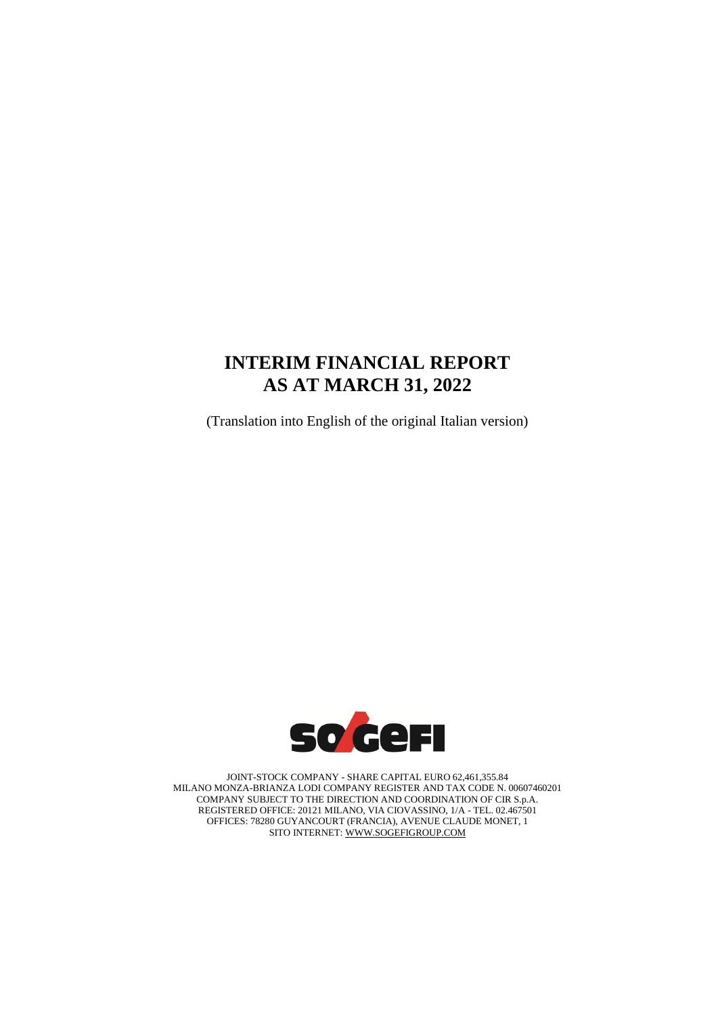## **INTERIM FINANCIAL REPORT AS AT MARCH 31, 2022**

(Translation into English of the original Italian version)



JOINT-STOCK COMPANY - SHARE CAPITAL EURO 62,461,355.84 MILANO MONZA-BRIANZA LODI COMPANY REGISTER AND TAX CODE N. 00607460201 COMPANY SUBJECT TO THE DIRECTION AND COORDINATION OF CIR S.p.A. REGISTERED OFFICE: 20121 MILANO, VIA CIOVASSINO, 1/A - TEL. 02.467501 OFFICES: 78280 GUYANCOURT (FRANCIA), AVENUE CLAUDE MONET, 1 SITO INTERNET[: WWW.SOGEFIGROUP.COM](http://www.sogefigroup.com/)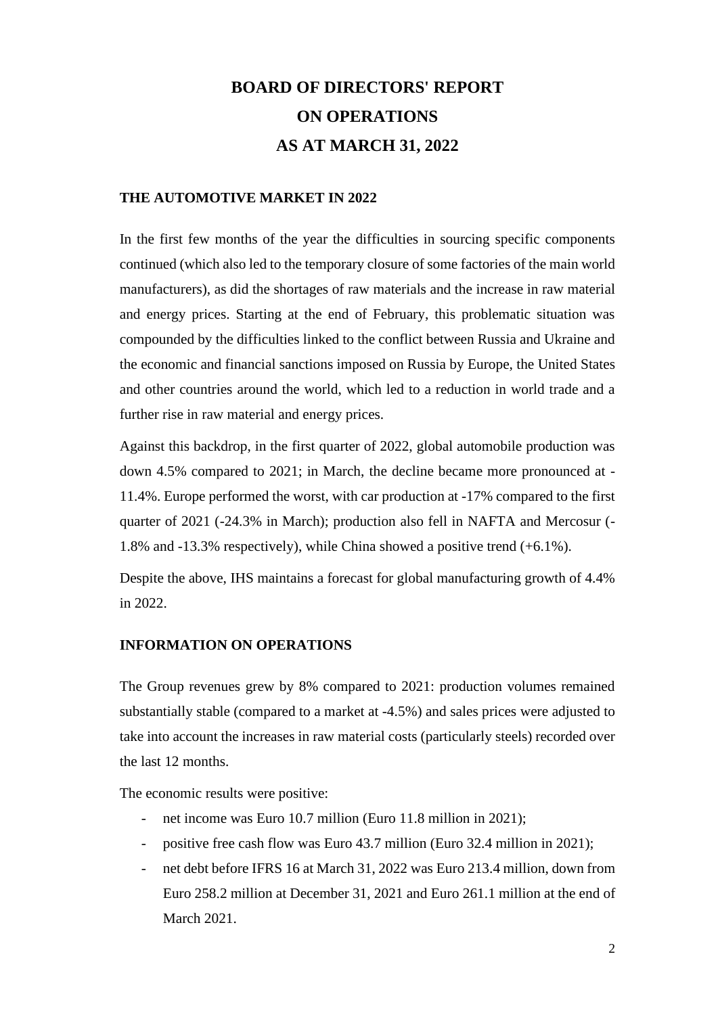# **BOARD OF DIRECTORS' REPORT ON OPERATIONS AS AT MARCH 31, 2022**

### **THE AUTOMOTIVE MARKET IN 2022**

In the first few months of the year the difficulties in sourcing specific components continued (which also led to the temporary closure of some factories of the main world manufacturers), as did the shortages of raw materials and the increase in raw material and energy prices. Starting at the end of February, this problematic situation was compounded by the difficulties linked to the conflict between Russia and Ukraine and the economic and financial sanctions imposed on Russia by Europe, the United States and other countries around the world, which led to a reduction in world trade and a further rise in raw material and energy prices.

Against this backdrop, in the first quarter of 2022, global automobile production was down 4.5% compared to 2021; in March, the decline became more pronounced at - 11.4%. Europe performed the worst, with car production at -17% compared to the first quarter of 2021 (-24.3% in March); production also fell in NAFTA and Mercosur (- 1.8% and -13.3% respectively), while China showed a positive trend (+6.1%).

Despite the above, IHS maintains a forecast for global manufacturing growth of 4.4% in 2022.

### **INFORMATION ON OPERATIONS**

The Group revenues grew by 8% compared to 2021: production volumes remained substantially stable (compared to a market at -4.5%) and sales prices were adjusted to take into account the increases in raw material costs (particularly steels) recorded over the last 12 months.

The economic results were positive:

- net income was Euro 10.7 million (Euro 11.8 million in 2021);
- positive free cash flow was Euro 43.7 million (Euro 32.4 million in 2021);
- net debt before IFRS 16 at March 31, 2022 was Euro 213.4 million, down from Euro 258.2 million at December 31, 2021 and Euro 261.1 million at the end of March 2021.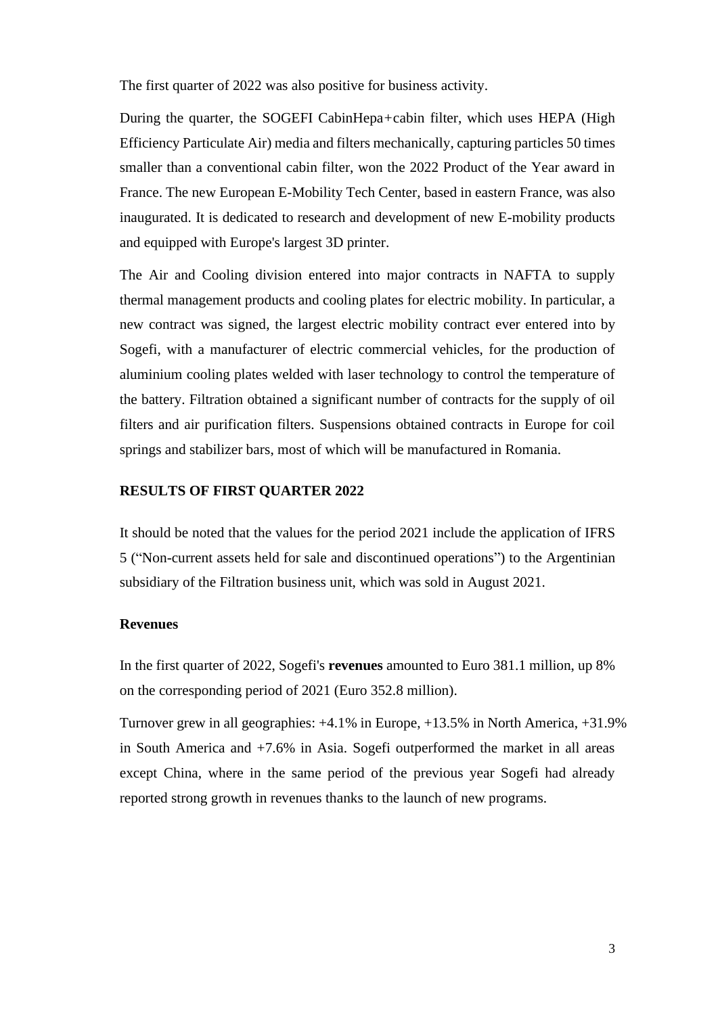The first quarter of 2022 was also positive for business activity.

During the quarter, the SOGEFI CabinHepa*+*cabin filter, which uses HEPA (High Efficiency Particulate Air) media and filters mechanically, capturing particles 50 times smaller than a conventional cabin filter, won the 2022 Product of the Year award in France. The new European E-Mobility Tech Center, based in eastern France, was also inaugurated. It is dedicated to research and development of new E-mobility products and equipped with Europe's largest 3D printer.

The Air and Cooling division entered into major contracts in NAFTA to supply thermal management products and cooling plates for electric mobility. In particular, a new contract was signed, the largest electric mobility contract ever entered into by Sogefi, with a manufacturer of electric commercial vehicles, for the production of aluminium cooling plates welded with laser technology to control the temperature of the battery. Filtration obtained a significant number of contracts for the supply of oil filters and air purification filters. Suspensions obtained contracts in Europe for coil springs and stabilizer bars, most of which will be manufactured in Romania.

#### **RESULTS OF FIRST QUARTER 2022**

It should be noted that the values for the period 2021 include the application of IFRS 5 ("Non-current assets held for sale and discontinued operations") to the Argentinian subsidiary of the Filtration business unit, which was sold in August 2021.

#### **Revenues**

In the first quarter of 2022, Sogefi's **revenues** amounted to Euro 381.1 million, up 8% on the corresponding period of 2021 (Euro 352.8 million).

Turnover grew in all geographies: +4.1% in Europe, +13.5% in North America, +31.9% in South America and +7.6% in Asia. Sogefi outperformed the market in all areas except China, where in the same period of the previous year Sogefi had already reported strong growth in revenues thanks to the launch of new programs.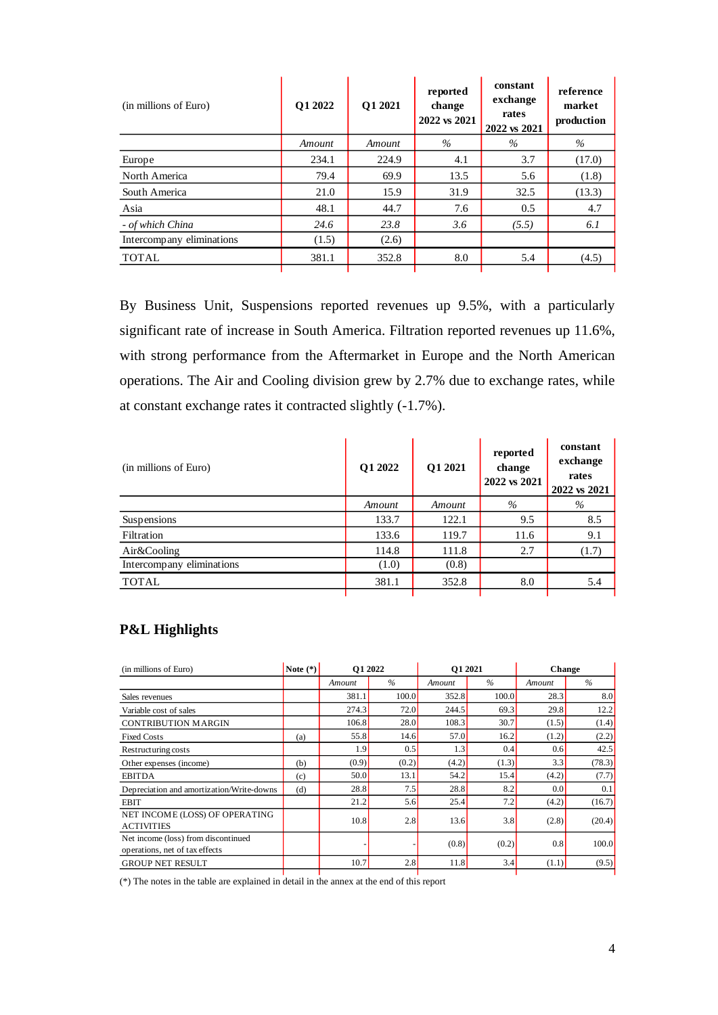| (in millions of Euro)     | O1 2022 | O1 2021 | reported<br>change<br>2022 vs 2021 | constant<br>exchange<br>rates<br>2022 vs 2021 | reference<br>market<br>production |
|---------------------------|---------|---------|------------------------------------|-----------------------------------------------|-----------------------------------|
|                           | Amount  | Amount  | $\%$                               | $\%$                                          | $\%$                              |
| Europe                    | 234.1   | 224.9   | 4.1                                | 3.7                                           | (17.0)                            |
| North America             | 79.4    | 69.9    | 13.5                               | 5.6                                           | (1.8)                             |
| South America             | 21.0    | 15.9    | 31.9                               | 32.5                                          | (13.3)                            |
| Asia                      | 48.1    | 44.7    | 7.6                                | 0.5                                           | 4.7                               |
| - of which China          | 24.6    | 23.8    | 3.6                                | (5.5)                                         | 6.1                               |
| Intercompany eliminations | (1.5)   | (2.6)   |                                    |                                               |                                   |
| <b>TOTAL</b>              | 381.1   | 352.8   | 8.0                                | 5.4                                           | (4.5)                             |

By Business Unit, Suspensions reported revenues up 9.5%, with a particularly significant rate of increase in South America. Filtration reported revenues up 11.6%, with strong performance from the Aftermarket in Europe and the North American operations. The Air and Cooling division grew by 2.7% due to exchange rates, while at constant exchange rates it contracted slightly (-1.7%).

| (in millions of Euro)     | O1 2022 | O1 2021 | reported<br>change<br>2022 vs 2021 | constant<br>exchange<br>rates<br>2022 vs 2021 |
|---------------------------|---------|---------|------------------------------------|-----------------------------------------------|
|                           | Amount  | Amount  | $\%$                               | $\%$                                          |
| Suspensions               | 133.7   | 122.1   | 9.5                                | 8.5                                           |
| Filtration                | 133.6   | 119.7   | 11.6                               | 9.1                                           |
| $Air&$ Cooling            | 114.8   | 111.8   | 2.7                                | (1.7)                                         |
| Intercompany eliminations | (1.0)   | (0.8)   |                                    |                                               |
| TOTAL                     | 381.1   | 352.8   | 8.0                                | 5.4                                           |
|                           |         |         |                                    |                                               |

## **P&L Highlights**

| (in millions of Euro)                                                 | Note $(*)$ | O1 2022 |       | O1 2021<br><b>Change</b> |       |        |        |
|-----------------------------------------------------------------------|------------|---------|-------|--------------------------|-------|--------|--------|
|                                                                       |            | Amount  | $\%$  | Amount                   | $\%$  | Amount | $\%$   |
| Sales revenues                                                        |            | 381.1   | 100.0 | 352.8                    | 100.0 | 28.3   | 8.0    |
| Variable cost of sales                                                |            | 274.3   | 72.0  | 244.5                    | 69.3  | 29.8   | 12.2   |
| <b>CONTRIBUTION MARGIN</b>                                            |            | 106.8   | 28.0  | 108.3                    | 30.7  | (1.5)  | (1.4)  |
| <b>Fixed Costs</b>                                                    | (a)        | 55.8    | 14.6  | 57.0                     | 16.2  | (1.2)  | (2.2)  |
| Restructuring costs                                                   |            | 1.9     | 0.5   | 1.3                      | 0.4   | 0.6    | 42.5   |
| Other expenses (income)                                               | (b)        | (0.9)   | (0.2) | (4.2)                    | (1.3) | 3.3    | (78.3) |
| <b>EBITDA</b>                                                         | (c)        | 50.0    | 13.1  | 54.2                     | 15.4  | (4.2)  | (7.7)  |
| Depreciation and amortization/Write-downs                             | (d)        | 28.8    | 7.5   | 28.8                     | 8.2   | 0.0    | 0.1    |
| <b>EBIT</b>                                                           |            | 21.2    | 5.6   | 25.4                     | 7.2   | (4.2)  | (16.7) |
| NET INCOME (LOSS) OF OPERATING<br><b>ACTIVITIES</b>                   |            | 10.8    | 2.8   | 13.6                     | 3.8   | (2.8)  | (20.4) |
| Net income (loss) from discontinued<br>operations, net of tax effects |            |         |       | (0.8)                    | (0.2) | 0.8    | 100.0  |
| <b>GROUP NET RESULT</b>                                               |            | 10.7    | 2.8   | 11.8                     | 3.4   | (1.1)  | (9.5)  |

 $\overrightarrow{a}$  (\*) The notes in the table are explained in detail in the annex at the end of this report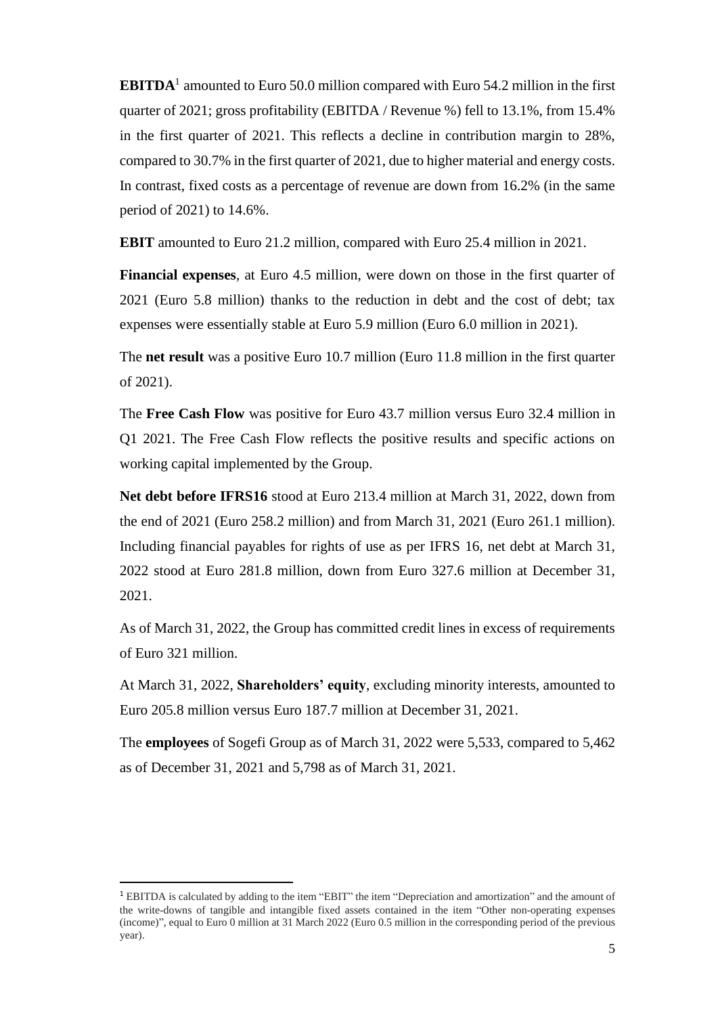**EBITDA**<sup>1</sup> amounted to Euro 50.0 million compared with Euro 54.2 million in the first quarter of 2021; gross profitability (EBITDA / Revenue %) fell to 13.1%, from 15.4% in the first quarter of 2021. This reflects a decline in contribution margin to 28%, compared to 30.7% in the first quarter of 2021, due to higher material and energy costs. In contrast, fixed costs as a percentage of revenue are down from 16.2% (in the same period of 2021) to 14.6%.

**EBIT** amounted to Euro 21.2 million, compared with Euro 25.4 million in 2021.

**Financial expenses**, at Euro 4.5 million, were down on those in the first quarter of 2021 (Euro 5.8 million) thanks to the reduction in debt and the cost of debt; tax expenses were essentially stable at Euro 5.9 million (Euro 6.0 million in 2021).

The **net result** was a positive Euro 10.7 million (Euro 11.8 million in the first quarter of 2021).

The **Free Cash Flow** was positive for Euro 43.7 million versus Euro 32.4 million in Q1 2021. The Free Cash Flow reflects the positive results and specific actions on working capital implemented by the Group.

**Net debt before IFRS16** stood at Euro 213.4 million at March 31, 2022, down from the end of 2021 (Euro 258.2 million) and from March 31, 2021 (Euro 261.1 million). Including financial payables for rights of use as per IFRS 16, net debt at March 31, 2022 stood at Euro 281.8 million, down from Euro 327.6 million at December 31, 2021.

As of March 31, 2022, the Group has committed credit lines in excess of requirements of Euro 321 million.

At March 31, 2022, **Shareholders' equity**, excluding minority interests, amounted to Euro 205.8 million versus Euro 187.7 million at December 31, 2021.

The **employees** of Sogefi Group as of March 31, 2022 were 5,533, compared to 5,462 as of December 31, 2021 and 5,798 as of March 31, 2021.

<sup>1</sup> EBITDA is calculated by adding to the item "EBIT" the item "Depreciation and amortization" and the amount of the write-downs of tangible and intangible fixed assets contained in the item "Other non-operating expenses (income)", equal to Euro 0 million at 31 March 2022 (Euro 0.5 million in the corresponding period of the previous year).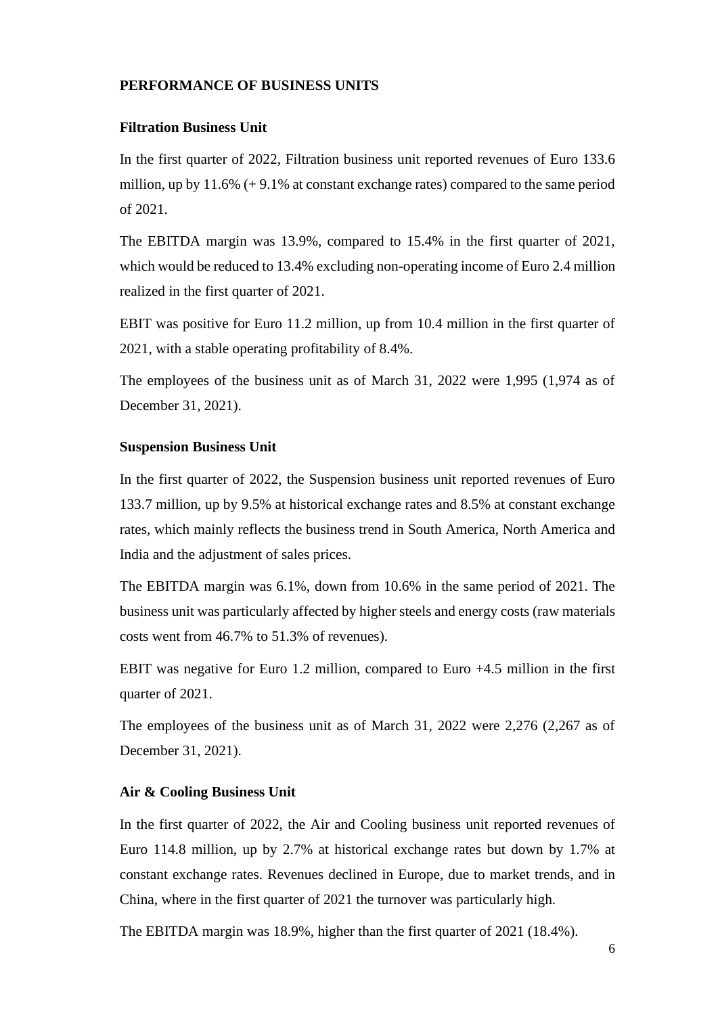### **PERFORMANCE OF BUSINESS UNITS**

#### **Filtration Business Unit**

In the first quarter of 2022, Filtration business unit reported revenues of Euro 133.6 million, up by  $11.6\%$  (+9.1% at constant exchange rates) compared to the same period of 2021.

The EBITDA margin was 13.9%, compared to 15.4% in the first quarter of 2021, which would be reduced to 13.4% excluding non-operating income of Euro 2.4 million realized in the first quarter of 2021.

EBIT was positive for Euro 11.2 million, up from 10.4 million in the first quarter of 2021, with a stable operating profitability of 8.4%.

The employees of the business unit as of March 31, 2022 were 1,995 (1,974 as of December 31, 2021).

#### **Suspension Business Unit**

In the first quarter of 2022, the Suspension business unit reported revenues of Euro 133.7 million, up by 9.5% at historical exchange rates and 8.5% at constant exchange rates, which mainly reflects the business trend in South America, North America and India and the adjustment of sales prices.

The EBITDA margin was 6.1%, down from 10.6% in the same period of 2021. The business unit was particularly affected by higher steels and energy costs (raw materials costs went from 46.7% to 51.3% of revenues).

EBIT was negative for Euro 1.2 million, compared to Euro +4.5 million in the first quarter of 2021.

The employees of the business unit as of March 31, 2022 were 2,276 (2,267 as of December 31, 2021).

#### **Air & Cooling Business Unit**

In the first quarter of 2022, the Air and Cooling business unit reported revenues of Euro 114.8 million, up by 2.7% at historical exchange rates but down by 1.7% at constant exchange rates. Revenues declined in Europe, due to market trends, and in China, where in the first quarter of 2021 the turnover was particularly high.

The EBITDA margin was 18.9%, higher than the first quarter of 2021 (18.4%).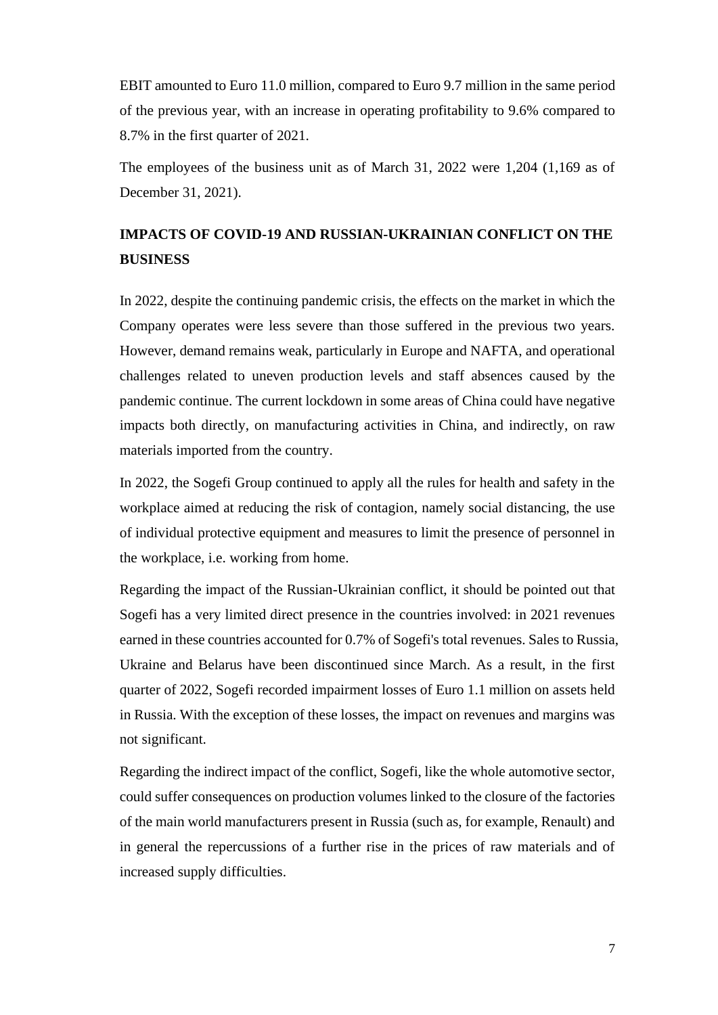EBIT amounted to Euro 11.0 million, compared to Euro 9.7 million in the same period of the previous year, with an increase in operating profitability to 9.6% compared to 8.7% in the first quarter of 2021.

The employees of the business unit as of March 31, 2022 were 1,204 (1,169 as of December 31, 2021).

## **IMPACTS OF COVID-19 AND RUSSIAN-UKRAINIAN CONFLICT ON THE BUSINESS**

In 2022, despite the continuing pandemic crisis, the effects on the market in which the Company operates were less severe than those suffered in the previous two years. However, demand remains weak, particularly in Europe and NAFTA, and operational challenges related to uneven production levels and staff absences caused by the pandemic continue. The current lockdown in some areas of China could have negative impacts both directly, on manufacturing activities in China, and indirectly, on raw materials imported from the country.

In 2022, the Sogefi Group continued to apply all the rules for health and safety in the workplace aimed at reducing the risk of contagion, namely social distancing, the use of individual protective equipment and measures to limit the presence of personnel in the workplace, i.e. working from home.

Regarding the impact of the Russian-Ukrainian conflict, it should be pointed out that Sogefi has a very limited direct presence in the countries involved: in 2021 revenues earned in these countries accounted for 0.7% of Sogefi's total revenues. Sales to Russia, Ukraine and Belarus have been discontinued since March. As a result, in the first quarter of 2022, Sogefi recorded impairment losses of Euro 1.1 million on assets held in Russia. With the exception of these losses, the impact on revenues and margins was not significant.

Regarding the indirect impact of the conflict, Sogefi, like the whole automotive sector, could suffer consequences on production volumes linked to the closure of the factories of the main world manufacturers present in Russia (such as, for example, Renault) and in general the repercussions of a further rise in the prices of raw materials and of increased supply difficulties.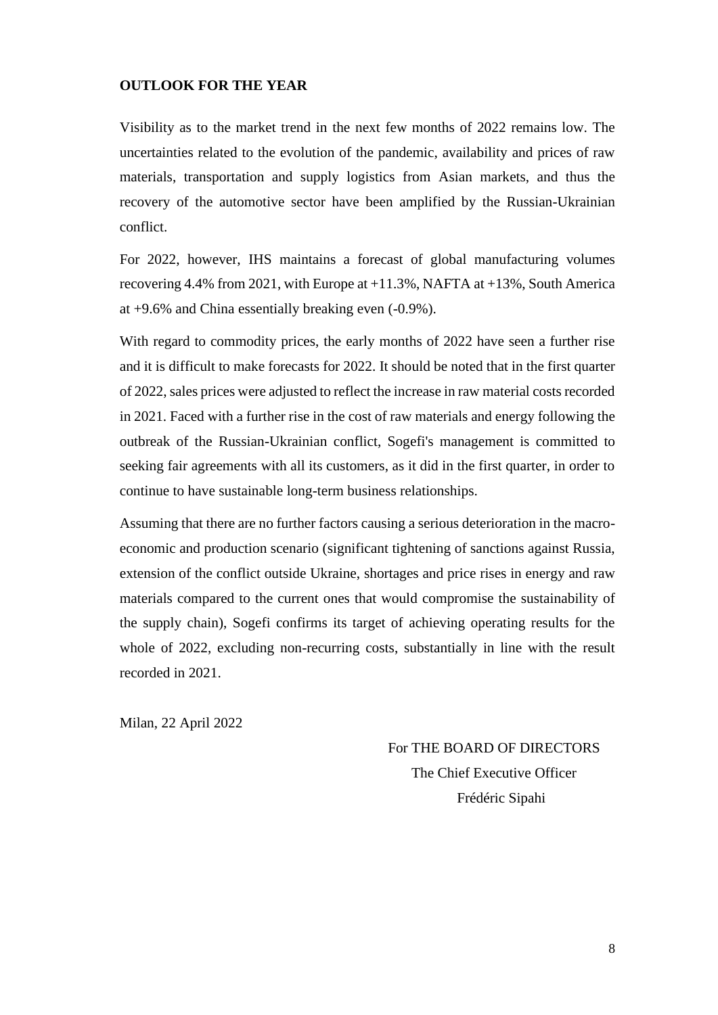### **OUTLOOK FOR THE YEAR**

Visibility as to the market trend in the next few months of 2022 remains low. The uncertainties related to the evolution of the pandemic, availability and prices of raw materials, transportation and supply logistics from Asian markets, and thus the recovery of the automotive sector have been amplified by the Russian-Ukrainian conflict.

For 2022, however, IHS maintains a forecast of global manufacturing volumes recovering 4.4% from 2021, with Europe at +11.3%, NAFTA at +13%, South America at +9.6% and China essentially breaking even (-0.9%).

With regard to commodity prices, the early months of 2022 have seen a further rise and it is difficult to make forecasts for 2022. It should be noted that in the first quarter of 2022, sales prices were adjusted to reflect the increase in raw material costs recorded in 2021. Faced with a further rise in the cost of raw materials and energy following the outbreak of the Russian-Ukrainian conflict, Sogefi's management is committed to seeking fair agreements with all its customers, as it did in the first quarter, in order to continue to have sustainable long-term business relationships.

Assuming that there are no further factors causing a serious deterioration in the macroeconomic and production scenario (significant tightening of sanctions against Russia, extension of the conflict outside Ukraine, shortages and price rises in energy and raw materials compared to the current ones that would compromise the sustainability of the supply chain), Sogefi confirms its target of achieving operating results for the whole of 2022, excluding non-recurring costs, substantially in line with the result recorded in 2021.

Milan, 22 April 2022

 For THE BOARD OF DIRECTORS The Chief Executive Officer Frédéric Sipahi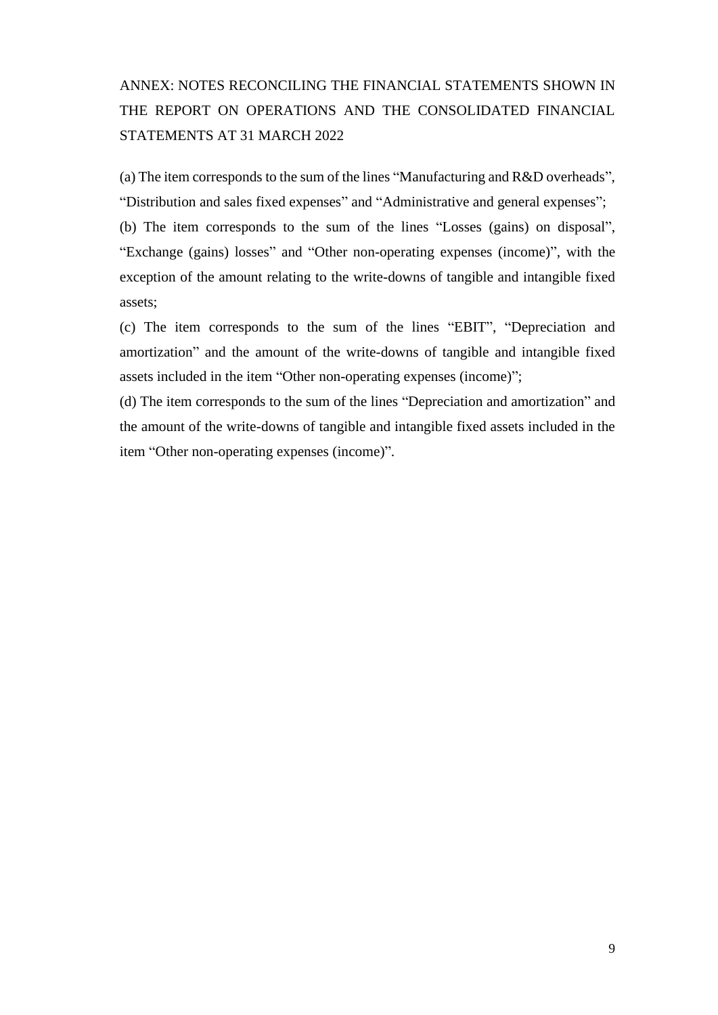## ANNEX: NOTES RECONCILING THE FINANCIAL STATEMENTS SHOWN IN THE REPORT ON OPERATIONS AND THE CONSOLIDATED FINANCIAL STATEMENTS AT 31 MARCH 2022

(a) The item corresponds to the sum of the lines "Manufacturing and R&D overheads", "Distribution and sales fixed expenses" and "Administrative and general expenses";

(b) The item corresponds to the sum of the lines "Losses (gains) on disposal", "Exchange (gains) losses" and "Other non-operating expenses (income)", with the exception of the amount relating to the write-downs of tangible and intangible fixed assets;

(c) The item corresponds to the sum of the lines "EBIT", "Depreciation and amortization" and the amount of the write-downs of tangible and intangible fixed assets included in the item "Other non-operating expenses (income)";

(d) The item corresponds to the sum of the lines "Depreciation and amortization" and the amount of the write-downs of tangible and intangible fixed assets included in the item "Other non-operating expenses (income)".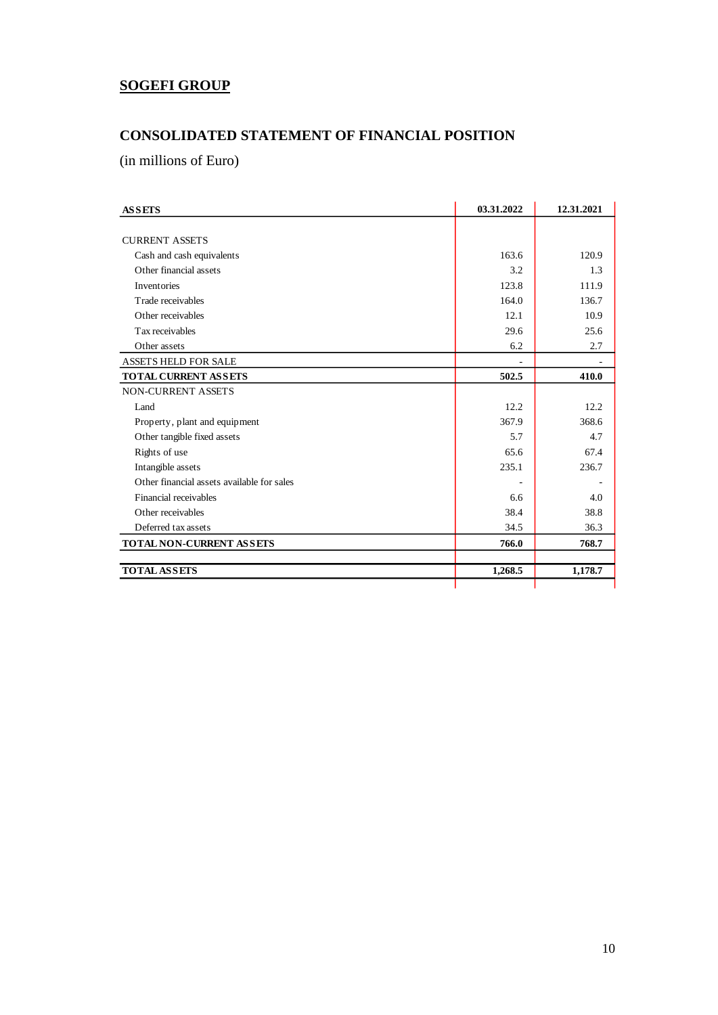## **SOGEFI GROUP**

## **CONSOLIDATED STATEMENT OF FINANCIAL POSITION**

(in millions of Euro)

| <b>ASSETS</b>                              | 03.31.2022 | 12.31.2021 |
|--------------------------------------------|------------|------------|
|                                            |            |            |
| <b>CURRENT ASSETS</b>                      |            |            |
| Cash and cash equivalents                  | 163.6      | 120.9      |
| Other financial assets                     | 3.2        | 1.3        |
| Inventories                                | 123.8      | 111.9      |
| Trade receivables                          | 164.0      | 136.7      |
| Other receivables                          | 12.1       | 10.9       |
| Tax receivables                            | 29.6       | 25.6       |
| Other assets                               | 6.2        | 2.7        |
| <b>ASSETS HELD FOR SALE</b>                |            |            |
| TOTAL CURRENT ASSETS                       | 502.5      | 410.0      |
| NON-CURRENT ASSETS                         |            |            |
| Land                                       | 12.2       | 12.2       |
| Property, plant and equipment              | 367.9      | 368.6      |
| Other tangible fixed assets                | 5.7        | 4.7        |
| Rights of use                              | 65.6       | 67.4       |
| Intangible assets                          | 235.1      | 236.7      |
| Other financial assets available for sales |            |            |
| Financial receivables                      | 6.6        | 4.0        |
| Other receivables                          | 38.4       | 38.8       |
| Deferred tax assets                        | 34.5       | 36.3       |
| TOTAL NON-CURRENT ASSETS                   | 766.0      | 768.7      |
| <b>TOTAL ASSETS</b>                        | 1,268.5    | 1,178.7    |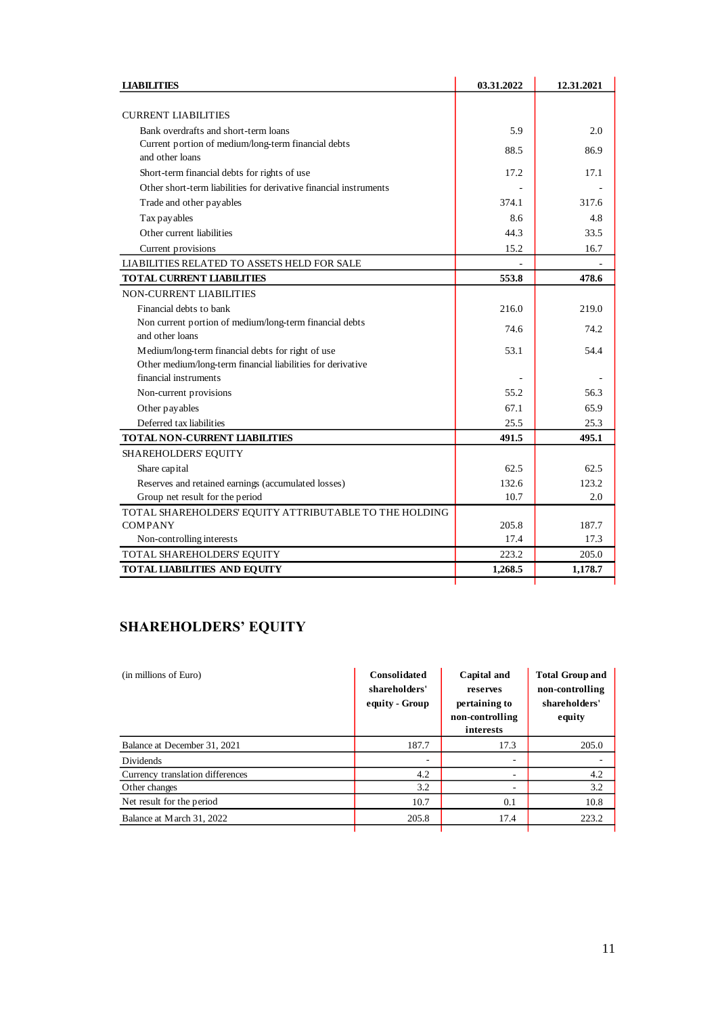| <b>LIABILITIES</b>                                                | 03.31.2022 | 12.31.2021 |
|-------------------------------------------------------------------|------------|------------|
|                                                                   |            |            |
| <b>CURRENT LIABILITIES</b>                                        |            |            |
| Bank overdrafts and short-term loans                              | 5.9        | 2.0        |
| Current portion of medium/long-term financial debts               | 88.5       | 86.9       |
| and other loans                                                   |            |            |
| Short-term financial debts for rights of use                      | 17.2       | 17.1       |
| Other short-term liabilities for derivative financial instruments |            |            |
| Trade and other payables                                          | 374.1      | 317.6      |
| Tax pay ables                                                     | 8.6        | 4.8        |
| Other current liabilities                                         | 44.3       | 33.5       |
| Current provisions                                                | 15.2       | 16.7       |
| LIABILITIES RELATED TO ASSETS HELD FOR SALE                       |            |            |
| <b>TOTAL CURRENT LIABILITIES</b>                                  | 553.8      | 478.6      |
| <b>NON-CURRENT LIABILITIES</b>                                    |            |            |
| Financial debts to bank                                           | 216.0      | 219.0      |
| Non current portion of medium/long-term financial debts           | 74.6       | 74.2       |
| and other loans                                                   |            |            |
| Medium/long-term financial debts for right of use                 | 53.1       | 54.4       |
| Other medium/long-term financial liabilities for derivative       |            |            |
| financial instruments                                             |            |            |
| Non-current provisions                                            | 55.2       | 56.3       |
| Other payables                                                    | 67.1       | 65.9       |
| Deferred tax liabilities                                          | 25.5       | 25.3       |
| <b>TOTAL NON-CURRENT LIABILITIES</b>                              | 491.5      | 495.1      |
| SHAREHOLDERS' EQUITY                                              |            |            |
| Share capital                                                     | 62.5       | 62.5       |
| Reserves and retained earnings (accumulated losses)               | 132.6      | 123.2      |
| Group net result for the period                                   | 10.7       | 2.0        |
| TOTAL SHAREHOLDERS' EQUITY ATTRIBUTABLE TO THE HOLDING            |            |            |
| <b>COMPANY</b>                                                    | 205.8      | 187.7      |
| Non-controlling interests                                         | 17.4       | 17.3       |
| TOTAL SHAREHOLDERS' EQUITY                                        | 223.2      | 205.0      |
| TOTAL LIABILITIES AND EQUITY                                      | 1,268.5    | 1,178.7    |

## **SHAREHOLDERS' EQUITY**

| (in millions of Euro)            | Consolidated<br>shareholders'<br>equity - Group | Capital and<br>reserves<br>pertaining to<br>non-controlling<br>interests | <b>Total Group and</b><br>non-controlling<br>shareholders'<br>equity |
|----------------------------------|-------------------------------------------------|--------------------------------------------------------------------------|----------------------------------------------------------------------|
| Balance at December 31, 2021     | 187.7                                           | 17.3                                                                     | 205.0                                                                |
| <b>Dividends</b>                 | ۰                                               | ۰.                                                                       |                                                                      |
| Currency translation differences | 4.2                                             | ٠                                                                        | 4.2                                                                  |
| Other changes                    | 3.2                                             | ۰.                                                                       | 3.2                                                                  |
| Net result for the period        | 10.7                                            | 0.1                                                                      | 10.8                                                                 |
| Balance at March 31, 2022        | 205.8                                           | 17.4                                                                     | 223.2                                                                |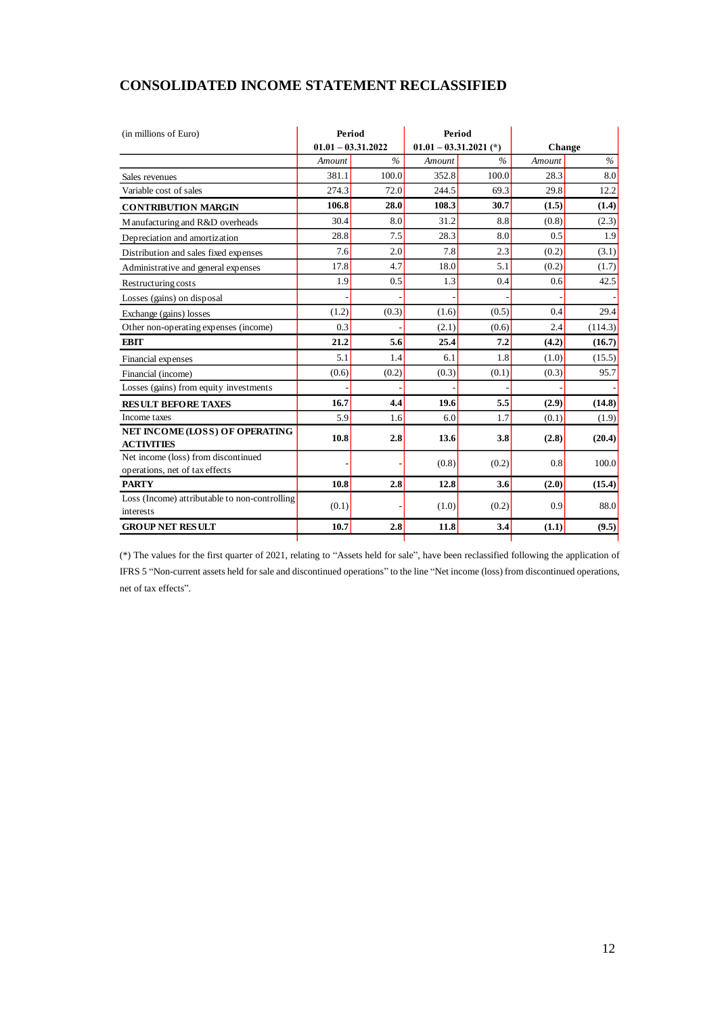| (in millions of Euro)                                      | Period               |               | Period                   |               |        |         |  |
|------------------------------------------------------------|----------------------|---------------|--------------------------|---------------|--------|---------|--|
|                                                            | $01.01 - 03.31.2022$ |               | $01.01 - 03.31.2021$ (*) |               | Change |         |  |
|                                                            | Amount               | $\frac{0}{0}$ | Amount                   | $\frac{0}{0}$ | Amount | $\%$    |  |
| Sales revenues                                             | 381.1                | 100.0         | 352.8                    | 100.0         | 28.3   | 8.0     |  |
| Variable cost of sales                                     | 274.3                | 72.0          | 244.5                    | 69.3          | 29.8   | 12.2    |  |
| <b>CONTRIBUTION MARGIN</b>                                 | 106.8                | 28.0          | 108.3                    | 30.7          | (1.5)  | (1.4)   |  |
| Manufacturing and R&D overheads                            | 30.4                 | 8.0           | 31.2                     | 8.8           | (0.8)  | (2.3)   |  |
| Depreciation and amortization                              | 28.8                 | 7.5           | 28.3                     | 8.0           | 0.5    | 1.9     |  |
| Distribution and sales fixed expenses                      | 7.6                  | 2.0           | 7.8                      | 2.3           | (0.2)  | (3.1)   |  |
| Administrative and general expenses                        | 17.8                 | 4.7           | 18.0                     | 5.1           | (0.2)  | (1.7)   |  |
| Restructuring costs                                        | 1.9                  | 0.5           | 1.3                      | 0.4           | 0.6    | 42.5    |  |
| Losses (gains) on disposal                                 |                      |               |                          |               |        |         |  |
| Exchange (gains) losses                                    | (1.2)                | (0.3)         | (1.6)                    | (0.5)         | 0.4    | 29.4    |  |
| Other non-operating expenses (income)                      | 0.3                  |               | (2.1)                    | (0.6)         | 2.4    | (114.3) |  |
| <b>EBIT</b>                                                | 21.2                 | 5.6           | 25.4                     | 7.2           | (4.2)  | (16.7)  |  |
| Financial expenses                                         | 5.1                  | 1.4           | 6.1                      | 1.8           | (1.0)  | (15.5)  |  |
| Financial (income)                                         | (0.6)                | (0.2)         | (0.3)                    | (0.1)         | (0.3)  | 95.7    |  |
| Losses (gains) from equity investments                     |                      |               |                          |               |        |         |  |
| <b>RESULT BEFORE TAXES</b>                                 | 16.7                 | 4.4           | 19.6                     | 5.5           | (2.9)  | (14.8)  |  |
| Income taxes                                               | 5.9                  | 1.6           | 6.0                      | 1.7           | (0.1)  | (1.9)   |  |
| NET INCOME (LOSS) OF OPERATING                             | 10.8                 | 2.8           | 13.6                     | 3.8           | (2.8)  | (20.4)  |  |
| <b>ACTIVITIES</b>                                          |                      |               |                          |               |        |         |  |
| Net income (loss) from discontinued                        |                      |               | (0.8)                    | (0.2)         | 0.8    | 100.0   |  |
| operations, net of tax effects                             |                      |               |                          |               |        |         |  |
| <b>PARTY</b>                                               | 10.8                 | 2.8           | 12.8                     | 3.6           | (2.0)  | (15.4)  |  |
| Loss (Income) attributable to non-controlling<br>interests | (0.1)                |               | (1.0)                    | (0.2)         | 0.9    | 88.0    |  |
| <b>GROUP NET RESULT</b>                                    | 10.7                 | 2.8           | 11.8                     | 3.4           | (1.1)  | (9.5)   |  |

## **CONSOLIDATED INCOME STATEMENT RECLASSIFIED**

(\*) The values for the first quarter of 2021, relating to "Assets held for sale", have been reclassified following the application of IFRS 5 "Non-current assets held for sale and discontinued operations" to the line "Net income (loss) from discontinued operations, net of tax effects".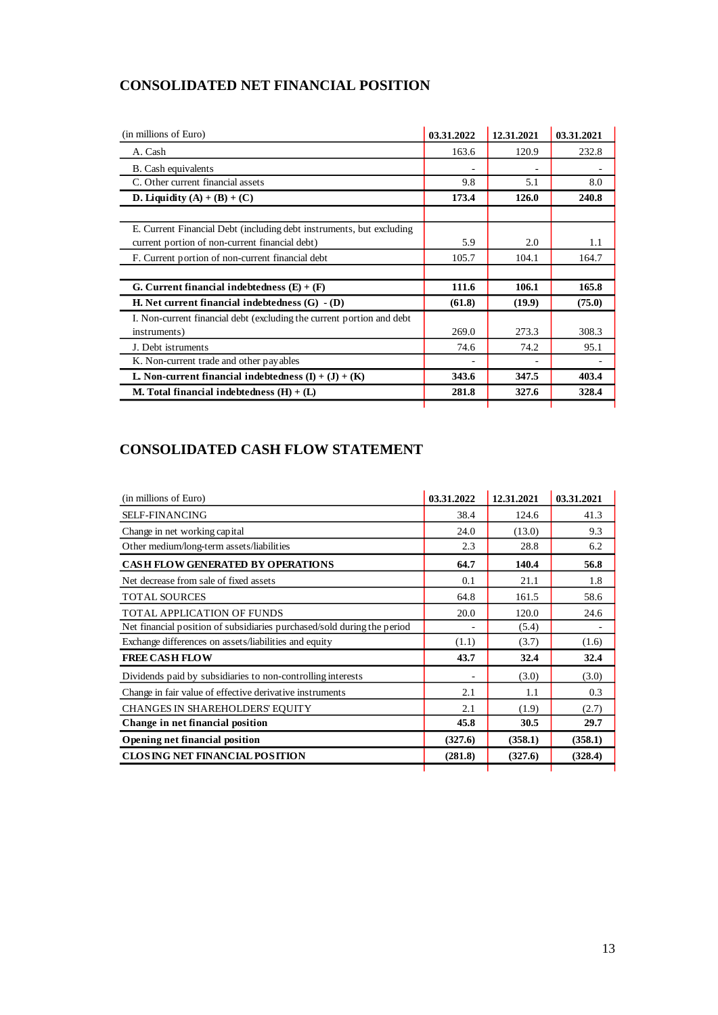| (in millions of Euro)                                                                                                  | 03.31.2022 | 12.31.2021 | 03.31.2021 |
|------------------------------------------------------------------------------------------------------------------------|------------|------------|------------|
| A. Cash                                                                                                                | 163.6      | 120.9      | 232.8      |
| B. Cash equivalents                                                                                                    |            |            |            |
| C. Other current financial assets                                                                                      | 9.8        | 5.1        | 8.0        |
| D. Liquidity $(A) + (B) + (C)$                                                                                         | 173.4      | 126.0      | 240.8      |
| E. Current Financial Debt (including debt instruments, but excluding<br>current portion of non-current financial debt) | 5.9        | 2.0        | 1.1        |
| F. Current portion of non-current financial debt                                                                       | 105.7      | 104.1      | 164.7      |
| G. Current financial indebtedness $(E) + (F)$                                                                          | 111.6      | 106.1      | 165.8      |
| H. Net current financial indebtedness $(G) - (D)$                                                                      | (61.8)     | (19.9)     | (75.0)     |
| I. Non-current financial debt (excluding the current portion and debt)<br>instruments)                                 | 269.0      | 273.3      | 308.3      |
| J. Debt istruments                                                                                                     | 74.6       | 74.2       | 95.1       |
| K. Non-current trade and other payables                                                                                |            |            |            |
| <b>L.</b> Non-current financial indebtedness $(I) + (J) + (K)$                                                         | 343.6      | 347.5      | 403.4      |
| M. Total financial indebtedness $(H) + (L)$                                                                            | 281.8      | 327.6      | 328.4      |

## **CONSOLIDATED NET FINANCIAL POSITION**

## **CONSOLIDATED CASH FLOW STATEMENT**

| (in millions of Euro)                                                   | 03.31.2022 | 12.31.2021 | 03.31.2021 |
|-------------------------------------------------------------------------|------------|------------|------------|
| <b>SELF-FINANCING</b>                                                   | 38.4       | 124.6      | 41.3       |
| Change in net working capital                                           | 24.0       | (13.0)     | 9.3        |
| Other medium/long-term assets/liabilities                               | 2.3        | 28.8       | 6.2        |
| CASH FLOW GENERATED BY OPERATIONS                                       | 64.7       | 140.4      | 56.8       |
| Net decrease from sale of fixed assets                                  | 0.1        | 21.1       | 1.8        |
| <b>TOTAL SOURCES</b>                                                    | 64.8       | 161.5      | 58.6       |
| <b>TOTAL APPLICATION OF FUNDS</b>                                       | 20.0       | 120.0      | 24.6       |
| Net financial position of subsidiaries purchased/sold during the period |            | (5.4)      |            |
| Exchange differences on assets/liabilities and equity                   | (1.1)      | (3.7)      | (1.6)      |
| <b>FREE CASH FLOW</b>                                                   | 43.7       | 32.4       | 32.4       |
| Dividends paid by subsidiaries to non-controlling interests             |            | (3.0)      | (3.0)      |
| Change in fair value of effective derivative instruments                | 2.1        | 1.1        | 0.3        |
| <b>CHANGES IN SHAREHOLDERS' EQUITY</b>                                  | 2.1        | (1.9)      | (2.7)      |
| Change in net financial position                                        | 45.8       | 30.5       | 29.7       |
| <b>Opening net financial position</b>                                   | (327.6)    | (358.1)    | (358.1)    |
| <b>CLOSING NET FINANCIAL POSITION</b>                                   | (281.8)    | (327.6)    | (328.4)    |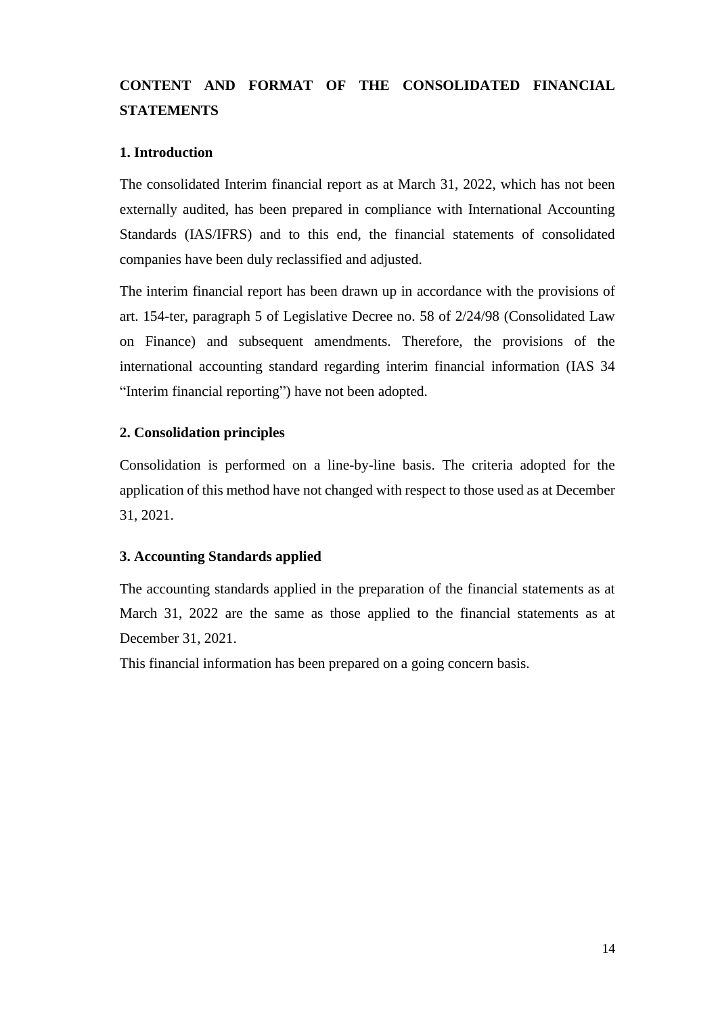## **CONTENT AND FORMAT OF THE CONSOLIDATED FINANCIAL STATEMENTS**

## **1. Introduction**

The consolidated Interim financial report as at March 31, 2022, which has not been externally audited, has been prepared in compliance with International Accounting Standards (IAS/IFRS) and to this end, the financial statements of consolidated companies have been duly reclassified and adjusted.

The interim financial report has been drawn up in accordance with the provisions of art. 154-ter, paragraph 5 of Legislative Decree no. 58 of 2/24/98 (Consolidated Law on Finance) and subsequent amendments. Therefore, the provisions of the international accounting standard regarding interim financial information (IAS 34 "Interim financial reporting") have not been adopted.

## **2. Consolidation principles**

Consolidation is performed on a line-by-line basis. The criteria adopted for the application of this method have not changed with respect to those used as at December 31, 2021.

### **3. Accounting Standards applied**

The accounting standards applied in the preparation of the financial statements as at March 31, 2022 are the same as those applied to the financial statements as at December 31, 2021.

This financial information has been prepared on a going concern basis.